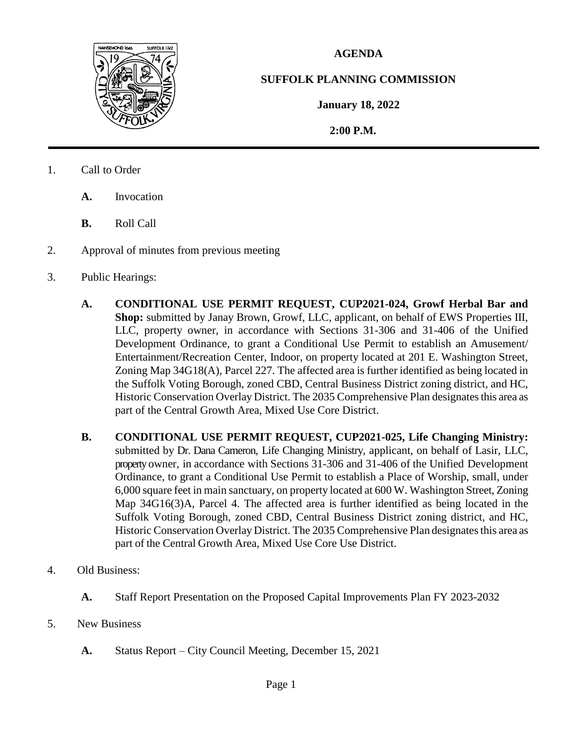

## **AGENDA**

## **SUFFOLK PLANNING COMMISSION**

**January 18, 2022**

 **2:00 P.M.**

- 1. Call to Order
	- **A.** Invocation
	- **B.** Roll Call
- 2. Approval of minutes from previous meeting
- 3. Public Hearings:
	- **A. CONDITIONAL USE PERMIT REQUEST, CUP2021-024, Growf Herbal Bar and Shop:** submitted by Janay Brown, Growf, LLC, applicant, on behalf of EWS Properties III, LLC, property owner, in accordance with Sections 31-306 and 31-406 of the Unified Development Ordinance, to grant a Conditional Use Permit to establish an Amusement/ Entertainment/Recreation Center, Indoor, on property located at 201 E. Washington Street, Zoning Map 34G18(A), Parcel 227. The affected area is further identified as being located in the Suffolk Voting Borough, zoned CBD, Central Business District zoning district, and HC, Historic Conservation Overlay District. The 2035 Comprehensive Plan designates this area as part of the Central Growth Area, Mixed Use Core District.
	- **B. CONDITIONAL USE PERMIT REQUEST, CUP2021-025, Life Changing Ministry:**  submitted by Dr. Dana Cameron, Life Changing Ministry, applicant, on behalf of Lasir, LLC, property owner, in accordance with Sections 31-306 and 31-406 of the Unified Development Ordinance, to grant a Conditional Use Permit to establish a Place of Worship, small, under 6,000 square feet in main sanctuary, on property located at 600 W. Washington Street, Zoning Map 34G16(3)A, Parcel 4. The affected area is further identified as being located in the Suffolk Voting Borough, zoned CBD, Central Business District zoning district, and HC, Historic Conservation Overlay District. The 2035 Comprehensive Plan designatesthis area as part of the Central Growth Area, Mixed Use Core Use District.
- 4. Old Business:
	- **A.** Staff Report Presentation on the Proposed Capital Improvements Plan FY 2023-2032
- 5. New Business
	- **A.** Status Report City Council Meeting, December 15, 2021